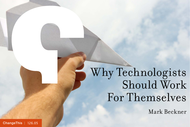# Why Technologists Should Work For Themselves

Mark Beckner

[ChangeThis](http://changethis.com) | 126.05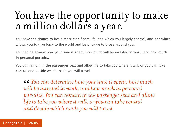# You have the opportunity to make a million dollars a year.

You have the chance to live a more significant life, one which you largely control, and one which allows you to give back to the world and be of value to those around you.

You can determine how your time is spent, how much will be invested in work, and how much in personal pursuits.

You can remain in the passenger seat and allow life to take you where it will, or you can take control and decide which roads you will travel.

*You can determine how your time is spent, how much will be invested in work, and how much in personal pursuits. You can remain in the passenger seat and allow life to take you where it will, or you can take control and decide which roads you will travel.*  $\frac{66}{w}$   $\frac{6}{w}$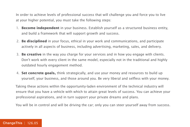In order to achieve levels of professional success that will challenge you and force you to live at your higher potential, you must take the following steps:

- 1. **Become independent** in your business. Establish yourself as a structured business entity, and build a framework that will support growth and success.
- 2. **Be disciplined** in your focus, ethical in your work and communications, and participate actively in all aspects of business, including advertising, marketing, sales, and delivery.
- 3. **Be creative** in the way you charge for your services and in how you engage with clients. Don't work with every client in the same model, especially not in the traditional and highly outdated hourly engagement method.
- 4. **Set concrete goals,** think strategically, and use your money and resources to build up yourself, your business, and those around you. Be very liberal and selfless with your money.

Taking these actions within the opportunity-laden environment of the technical industry will ensure that you have a vehicle with which to attain great levels of success. You can achieve your professional aspirations, and in turn support your private dreams and plans.

You will be in control and will be driving the car; only you can steer yourself away from success.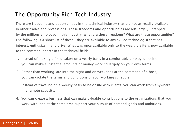### The Opportunity Rich Tech Industry

There are freedoms and opportunities in the technical industry that are not as readily available in other trades and professions. These freedoms and opportunities are left largely untapped by the millions employed in this industry. What are these freedoms? What are these opportunities? The following is a short list of these—they are available to any skilled technologist that has interest, enthusiasm, and drive. What was once available only to the wealthy elite is now available to the common laborer in the technical fields.

- 1. Instead of making a fixed salary on a yearly basis in a comfortable employed position, you can make substantial amounts of money working largely on your own terms.
- 2. Rather than working late into the night and on weekends at the command of a boss, you can dictate the terms and conditions of your working schedule.
- 3. Instead of traveling on a weekly basis to be onsite with clients, you can work from anywhere in a remote capacity.
- 4. You can create a business that can make valuable contributions to the organizations that you work with, and at the same time support your pursuit of personal goals and ambitions.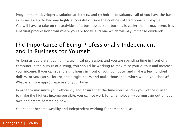Programmers, developers, solution architects, and technical consultants—all of you have the basic skills necessary to become highly successful outside the confines of traditional employment. You will have to take on the activities of a businessperson, but this is easier than it may seem; it is a natural progression from where you are today, and one which will pay immense dividends.

### The Importance of Being Professionally Independent and in Business for Yourself

As long as you are engaging in a technical profession, and you are spending time in front of a computer in the pursuit of a living, you should be working to maximize your output and increase your income. If you can spend eight hours in front of your computer and make a few hundred dollars, or you can sit for the same eight hours and make thousands, which would you choose? What is a more appropriate use of your time?

In order to maximize your efficiency and ensure that the time you spend in your office is used to make the highest income possible, you cannot work for an employer—you must go out on your own and create something new.

You cannot become wealthy and independent working for someone else.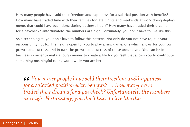How many people have sold their freedom and happiness for a salaried position with benefits? How many have traded time with their families for late nights and weekends at work doing deployments that could have been done during business hours? How many have traded their dreams for a paycheck? Unfortunately, the numbers are high. Fortunately, you don't have to live like this.

As a technologist, you don't have to follow this pattern. Not only do you not have to, it is your responsibility not to. The field is open for you to play a new game, one which allows for your own growth and success, and in turn the growth and success of those around you. You can be in business in order to make enough money to create a life for yourself that allows you to contribute something meaningful to the world while you are here.

*How many people have sold their freedom and happiness for a salaried position with benefits? … How many have traded their dreams for a paycheck? Unfortunately, the numbers are high. Fortunately, you don't have to live like this.* 66<br>*for*<br>*tra*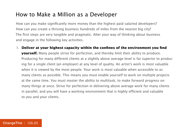#### How to Make a Million as a Developer

How can you make significantly more money than the highest paid salaried developers? How can you create a thriving business hundreds of miles from the nearest big city? The first steps are very tangible and pragmatic. Alter your way of thinking about business and engage in the following key activities.

1. **Deliver at your highest capacity within the confines of the environment you find yourself.** Many people strive for perfection, and thereby limit their ability to produce. Producing for many different clients at a slightly above average level is far superior to producing for a single client (an employer) at any level of quality. An artist's work is most valuable when it is viewed by the most people. Your work is most valuable when accessible to as many clients as possible. This means you must enable yourself to work on multiple projects at the same time. You must master the ability to multitask, to make forward progress on many things at once. Strive for perfection in delivering above average work for many clients in parallel, and you will have a working environment that is highly efficient and valuable to you and your clients.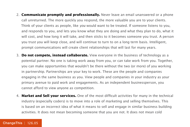- 2. **Communicate promptly and professionally.** Never leave an email unanswered or a phone call unreturned. The more quickly you respond, the more valuable you are to your clients. Think of your clients as people, like *you* would want to be treated. If someone listens to you, and responds to you, and lets you know what they are doing and what they plan to do, what it will cost, and how long it will take, and then sticks to it becomes someone you trust. A person you trust you will keep close, and will continue to turn to on a long term basis. Intelligent, prompt communications will create client relationships that will last for many years.
- 3. **Do not compete, instead collaborate.** View everyone in the business of technology as a potential partner. No one is taking work away from you, or can take work from you. Together, you can make opportunities that wouldn't be there without the two (or more) of you working in partnership. Partnerships are your key to work. These are the people and companies engaging in the same business as you. View people and companies in your industry as your primary avenue to paid work and engagements. As an independent businessperson, you cannot afford to view anyone as competition.
- 4. **Market and Sell your services.** One of the most difficult activities for many in the technical industry (especially coders) is to move into a role of marketing and selling themselves. This is based on an incorrect idea of what it means to sell and engage in similar business building activities. It does not mean becoming someone that you are not. It does not mean cold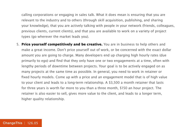calling corporations or engaging in sales talk. What it does mean is ensuring that you are relevant to the industry and to others (through skill acquisition, publishing, and sharing your knowledge), that you are actively talking with people in your network (friends, colleagues, previous clients, current clients), and that you are available to work on a variety of project types (go wherever the market leads you).

5. **Price yourself competitively and be creative.** You are in business to help others and make a great income. Don't price yourself out of work, or be concerned with the exact dollar amount you are going to charge. Many developers end up charging high hourly rates (due primarily to ego) and find that they only have one or two engagements at a time, often with lengthy periods of downtime between projects. Your goal is to be actively engaged on as many projects at the same time as possible. In general, you need to work in retainer or fixed hourly models. Come up with a price and an engagement model that is of high value to your client and leads to a long-term relationship. A \$3,500 a month retainer that lasts for three years is worth far more to you than a three month, \$150 an hour project. The retainer is also easier to sell, gives more value to the client, and leads to a longer term, higher quality relationship.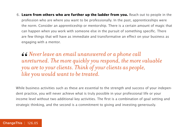6. **Learn from others who are further up the ladder from you.** Reach out to people in the profession who are where you want to be professionally. In the past, apprenticeships were the norm. Consider an apprenticeship or mentorship. There is a certain amount of magic that can happen when you work with someone else in the pursuit of something specific. There are few things that will have as immediate and transformative an effect on your business as engaging with a mentor.

*Never leave an email unanswered or a phone call unreturned. The more quickly you respond, the more valuable you are to your clients. Think of your clients as people, like* you *would want to be treated.*   $\frac{66}{10}$ 

While business activities such as these are essential to the strength and success of your independent practice, you will never achieve what is truly possible in your professional life or your income level without two additional key activities. The first is a combination of goal setting and strategic thinking, and the second is a commitment to giving and investing generously.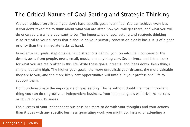#### The Critical Nature of Goal Setting and Strategic Thinking

You can achieve very little if you don't have specific goals identified. You can achieve even less if you don't take time to think about what you are after, how you will get there, and what you will do once you are where you want to be. The importance of goal setting and strategic thinking is so critical to your success that it should be your primary concern on a daily basis. It is of higher priority than the immediate tasks at hand.

In order to set goals, step outside. Put distractions behind you. Go into the mountains or the desert, away from people, news, email, music, and anything else. Seek silence and listen. Look for what you are really after in this life. Write these goals, dreams, and ideas down. Keep things simple, but aim high. The higher your goals, the more unrealistic your dreams, the more valuable they are to you, and the more likely new opportunities will unfold in your professional life to support them.

Don't underestimate the importance of goal setting. This is without doubt the most important thing you can do to grow your independent business. Your personal goals will drive the success or failure of your business.

The success of your independent business has more to do with your thoughts and your actions than it does with any specific business generating work you might do. Instead of attending a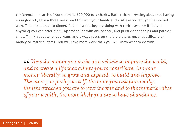conference in search of work, donate \$20,000 to a charity. Rather than stressing about not having enough work, take a three week road trip with your family and visit every client you've worked with. Take people out to dinner, find out what they are doing with their lives, see if there is anything you can offer them. Approach life with abundance, and pursue friendships and partnerships. Think about what you want, and always focus on the big picture, never specifically on money or material items. You will have more work than you will know what to do with.

*View the money you make as a vehicle to improve the world, and to create a life that allows you to contribute. Use your money liberally, to grow and expand, to build and improve. The more you push yourself, the more you risk financially, the less attached you are to your income and to the numeric value of your wealth, the more likely you are to have abundance.* 66<br>an<br>ma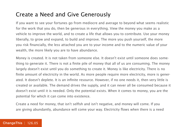#### Create a Need and Give Generously

If you want to see your fortunes go from mediocre and average to beyond what seems realistic for the work that you do, then be generous in everything. View the money you make as a vehicle to improve the world, and to create a life that allows you to contribute. Use your money liberally, to grow and expand, to build and improve. The more you push yourself, the more you risk financially, the less attached you are to your income and to the numeric value of your wealth, the more likely you are to have abundance.

Money is created. It is not taken from someone else. It doesn't exist until someone does something to generate it. There is not a finite pile of money that all of us are consuming. The money largely doesn't exist until you do something to create it. Money is like electricity. There is no finite amount of electricity in the world. As more people require more electricity, more is generated. It doesn't deplete. It is an infinite resource. However, if no one needs it, then very little is created or available. The demand drives the supply, and it can never all be consumed because it doesn't exist until it is needed. Only the potential exists. When it comes to money, you are the potential for which it can come into existence.

Create a need for money, that isn't selfish and isn't negative, and money will come. If you are giving abundantly, abundance will come your way. Electricity flows when there is a need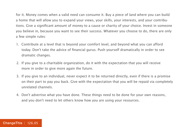for it. Money comes when a valid need can consume it. Buy a piece of land where you can build a home that will allow you to expand your views, your skills, your interests, and your contributions. Give a significant amount of money to a cause or charity of your choice. Invest in someone you believe in, because you want to see their success. Whatever you choose to do, there are only a few simple rules:

- 1. Contribute at a level that is beyond your comfort level, and beyond what you can afford today. Don't take the advice of financial gurus. Push yourself dramatically in order to see dramatic changes.
- 2. If you give to a charitable organization, do it with the expectation that you will receive more in order to give more again the future.
- 3. If you give to an individual, never expect it to be returned directly, even if there is a promise on their part to pay you back. Give with the expectation that you will be repaid via completely unrelated channels.
- 4. Don't advertise what you have done. These things need to be done for your own reasons, and you don't need to let others know how you are using your resources.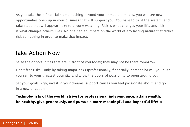As you take these financial steps, pushing beyond your immediate means, you will see new opportunities open up in your business that will support you. You have to trust the system, and take steps that will appear risky to anyone watching. Risk is what changes your life, and risk is what changes other's lives. No one had an impact on the world of any lasting nature that didn't risk something in order to make that impact.

#### Take Action Now

Seize the opportunities that are in front of you today; they may not be there tomorrow.

Don't fear risks—only by taking major risks (professionally, financially, personally) will you push yourself to your greatest potential and allow the doors of possibility to open around you.

Set your goals high, invest in your dreams, support causes you feel passionate about, and go in a new direction.

**Technologists of the world, strive for professional independence, attain wealth, be healthy, give generously, and pursue a more meaningful and impactful life!**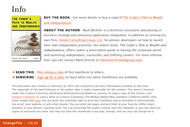## Info

#### THE CODER'S PATH TO WEALTH AND INDEPENDENCE



MARK BECKNER Apress<sup>®</sup>

**BUY THE BOOK** | Get more details or buy a copy of The Coder's Path to Wealth and Independence.

**ABOUT THE AUTHOR** | Mark Beckner is a technical consultant specializing in business strategy and enterprise application integration. In addition to running his own firm, [Inotek Consulting Group, LLC,](http://inotekgroup.com/) he advises developers on how to launch their own independent practices. His newest book, The Coder's Path to Wealth and Independence, offers coders a prescriptive guide to leaving the corporate world and launching independent, successful, and fulfilling careers. For more information, you can contact Mark directly at [mbeckner@inotekgroup.com.](mailto:mbeckner%40inotekgroup.com.?subject=)

→ **SEND THIS** | [Pass along a copy](http://www.changethis.com/126.06.CoderPath/email) of this manifesto to others. **→ SUBSCRIBE** | Sign up fo[r e-news](http://changethis.com/page/show/e_mail_newsletter) to learn when our latest manifestos are available.

This document was created on February 18, 2015 and is based on the best information available at that time. The copyright of this work belongs to the author, who is solely responsible for the content. This work is licensed under the Creative Commons Attribution-NonCommercial-NoDerivs License. To view a copy of this license, visit [Creative Commons](http://creativecommons.org/licenses/by-nc-nd/2.0/) or send a letter to Creative Commons, 559 Nathan Abbott Way, Stanford, California 94305, USA. Cover image from [Veer.](http://www.veer.com/) You are given the unlimited right to print this manifesto and to distribute it electronically (via email, your website, or any other means). You can print out pages and put them in your favorite coffee shop's windows or your doctor's waiting room. You can transcribe the author's words onto the sidewalk, or you can hand out copies to everyone you meet. You may not alter this manifesto in any way, though, and you may not charge for it.

#### [ChangeThis](http://changethis.com) | 126.05